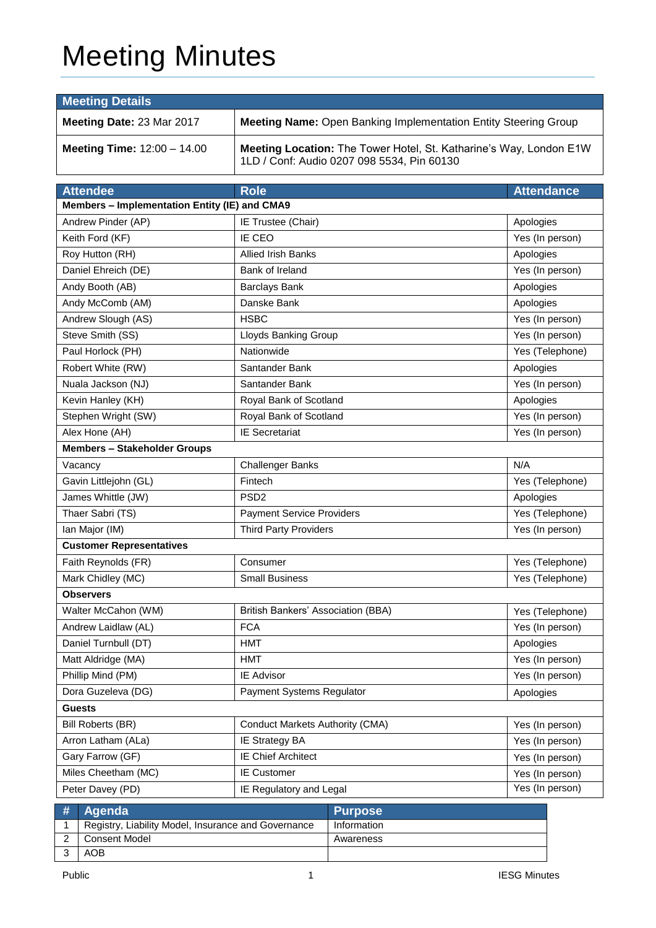# Meeting Minutes

| <b>Meeting Details</b>                                                                              |                                                                                                                  |                   |  |  |  |
|-----------------------------------------------------------------------------------------------------|------------------------------------------------------------------------------------------------------------------|-------------------|--|--|--|
| Meeting Date: 23 Mar 2017<br><b>Meeting Name: Open Banking Implementation Entity Steering Group</b> |                                                                                                                  |                   |  |  |  |
| <b>Meeting Time: 12:00 - 14.00</b>                                                                  | Meeting Location: The Tower Hotel, St. Katharine's Way, London E1W<br>1LD / Conf: Audio 0207 098 5534, Pin 60130 |                   |  |  |  |
| <b>Attendee</b>                                                                                     | <b>Role</b>                                                                                                      | <b>Attendance</b> |  |  |  |
| Members - Implementation Entity (IE) and CMA9                                                       |                                                                                                                  |                   |  |  |  |
| Andrew Pinder (AP)                                                                                  | IE Trustee (Chair)                                                                                               | Apologies         |  |  |  |
| Keith Ford (KF)                                                                                     | IE CEO                                                                                                           | Yes (In person)   |  |  |  |
| Roy Hutton (RH)                                                                                     | Allied Irish Banks                                                                                               | Apologies         |  |  |  |
| Daniel Ehreich (DE)                                                                                 | Bank of Ireland                                                                                                  | Yes (In person)   |  |  |  |
| Andy Booth (AB)                                                                                     | <b>Barclays Bank</b>                                                                                             | Apologies         |  |  |  |
| Andy McComb (AM)                                                                                    | Danske Bank                                                                                                      | Apologies         |  |  |  |
| Andrew Slough (AS)                                                                                  | <b>HSBC</b>                                                                                                      | Yes (In person)   |  |  |  |
| Steve Smith (SS)                                                                                    | Lloyds Banking Group                                                                                             | Yes (In person)   |  |  |  |
| Paul Horlock (PH)                                                                                   | Nationwide                                                                                                       | Yes (Telephone)   |  |  |  |
| Robert White (RW)                                                                                   | Santander Bank                                                                                                   | Apologies         |  |  |  |
| Nuala Jackson (NJ)                                                                                  | Santander Bank                                                                                                   | Yes (In person)   |  |  |  |
| Kevin Hanley (KH)                                                                                   | Royal Bank of Scotland                                                                                           | Apologies         |  |  |  |
| Stephen Wright (SW)                                                                                 | Royal Bank of Scotland                                                                                           | Yes (In person)   |  |  |  |
| Alex Hone (AH)                                                                                      | <b>IE Secretariat</b>                                                                                            | Yes (In person)   |  |  |  |
| <b>Members - Stakeholder Groups</b>                                                                 |                                                                                                                  |                   |  |  |  |
| Vacancy                                                                                             | <b>Challenger Banks</b>                                                                                          | N/A               |  |  |  |
| Gavin Littlejohn (GL)                                                                               | Fintech                                                                                                          | Yes (Telephone)   |  |  |  |
| James Whittle (JW)                                                                                  | PSD <sub>2</sub>                                                                                                 | Apologies         |  |  |  |
| Thaer Sabri (TS)                                                                                    | <b>Payment Service Providers</b>                                                                                 | Yes (Telephone)   |  |  |  |
| Ian Major (IM)                                                                                      | <b>Third Party Providers</b>                                                                                     | Yes (In person)   |  |  |  |
| <b>Customer Representatives</b>                                                                     |                                                                                                                  |                   |  |  |  |
| Faith Reynolds (FR)                                                                                 | Consumer                                                                                                         | Yes (Telephone)   |  |  |  |
| Mark Chidley (MC)                                                                                   | <b>Small Business</b>                                                                                            | Yes (Telephone)   |  |  |  |
| <b>Observers</b>                                                                                    |                                                                                                                  |                   |  |  |  |
| Walter McCahon (WM)                                                                                 | British Bankers' Association (BBA)                                                                               | Yes (Telephone)   |  |  |  |
| Andrew Laidlaw (AL)                                                                                 | <b>FCA</b>                                                                                                       | Yes (In person)   |  |  |  |
| Daniel Turnbull (DT)                                                                                | <b>HMT</b>                                                                                                       | Apologies         |  |  |  |
| Matt Aldridge (MA)                                                                                  | <b>HMT</b>                                                                                                       | Yes (In person)   |  |  |  |
| Phillip Mind (PM)                                                                                   | IE Advisor                                                                                                       | Yes (In person)   |  |  |  |
| Dora Guzeleva (DG)                                                                                  | Payment Systems Regulator                                                                                        | Apologies         |  |  |  |
| <b>Guests</b>                                                                                       |                                                                                                                  |                   |  |  |  |
| Bill Roberts (BR)                                                                                   | <b>Conduct Markets Authority (CMA)</b>                                                                           | Yes (In person)   |  |  |  |
| Arron Latham (ALa)                                                                                  | IE Strategy BA                                                                                                   | Yes (In person)   |  |  |  |
| Gary Farrow (GF)                                                                                    | <b>IE Chief Architect</b>                                                                                        | Yes (In person)   |  |  |  |
| Miles Cheetham (MC)                                                                                 | <b>IE Customer</b>                                                                                               | Yes (In person)   |  |  |  |
| Peter Davey (PD)                                                                                    | IE Regulatory and Legal                                                                                          | Yes (In person)   |  |  |  |

| # Agenda                                            | <b>Purpose</b> |
|-----------------------------------------------------|----------------|
| Registry, Liability Model, Insurance and Governance | Information    |
| Consent Model                                       | Awareness      |
| AOB                                                 |                |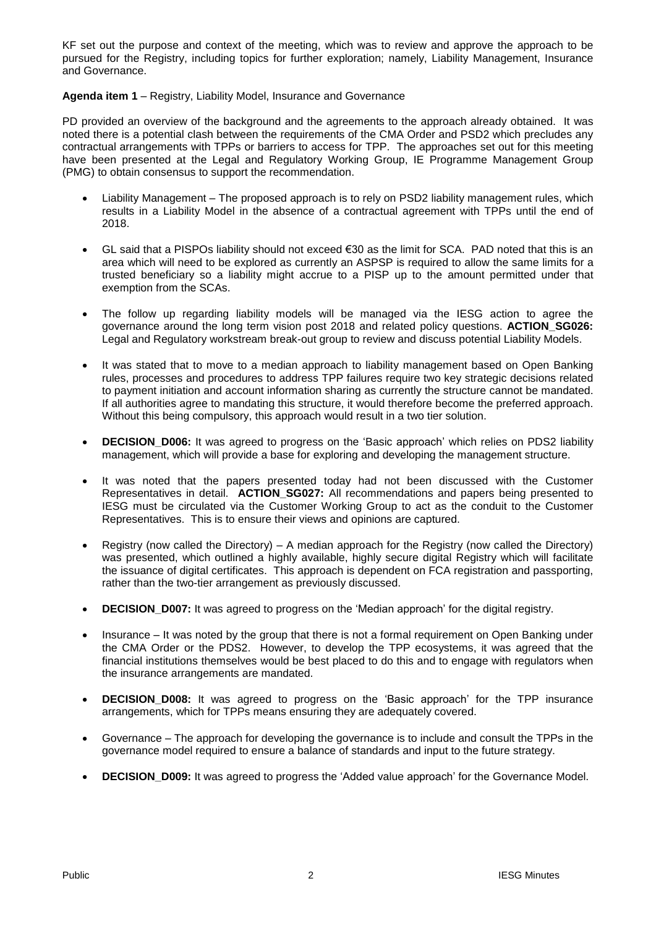KF set out the purpose and context of the meeting, which was to review and approve the approach to be pursued for the Registry, including topics for further exploration; namely, Liability Management, Insurance and Governance.

#### **Agenda item 1** – Registry, Liability Model, Insurance and Governance

PD provided an overview of the background and the agreements to the approach already obtained. It was noted there is a potential clash between the requirements of the CMA Order and PSD2 which precludes any contractual arrangements with TPPs or barriers to access for TPP. The approaches set out for this meeting have been presented at the Legal and Regulatory Working Group, IE Programme Management Group (PMG) to obtain consensus to support the recommendation.

- Liability Management The proposed approach is to rely on PSD2 liability management rules, which results in a Liability Model in the absence of a contractual agreement with TPPs until the end of 2018.
- GL said that a PISPOs liability should not exceed €30 as the limit for SCA. PAD noted that this is an area which will need to be explored as currently an ASPSP is required to allow the same limits for a trusted beneficiary so a liability might accrue to a PISP up to the amount permitted under that exemption from the SCAs.
- The follow up regarding liability models will be managed via the IESG action to agree the governance around the long term vision post 2018 and related policy questions. **ACTION\_SG026:** Legal and Regulatory workstream break-out group to review and discuss potential Liability Models.
- It was stated that to move to a median approach to liability management based on Open Banking rules, processes and procedures to address TPP failures require two key strategic decisions related to payment initiation and account information sharing as currently the structure cannot be mandated. If all authorities agree to mandating this structure, it would therefore become the preferred approach. Without this being compulsory, this approach would result in a two tier solution.
- **DECISION D006:** It was agreed to progress on the 'Basic approach' which relies on PDS2 liability management, which will provide a base for exploring and developing the management structure.
- It was noted that the papers presented today had not been discussed with the Customer Representatives in detail. **ACTION\_SG027:** All recommendations and papers being presented to IESG must be circulated via the Customer Working Group to act as the conduit to the Customer Representatives. This is to ensure their views and opinions are captured.
- Registry (now called the Directory) A median approach for the Registry (now called the Directory) was presented, which outlined a highly available, highly secure digital Registry which will facilitate the issuance of digital certificates. This approach is dependent on FCA registration and passporting, rather than the two-tier arrangement as previously discussed.
- **DECISION** D007: It was agreed to progress on the 'Median approach' for the digital registry.
- Insurance It was noted by the group that there is not a formal requirement on Open Banking under the CMA Order or the PDS2. However, to develop the TPP ecosystems, it was agreed that the financial institutions themselves would be best placed to do this and to engage with regulators when the insurance arrangements are mandated.
- **DECISION D008:** It was agreed to progress on the 'Basic approach' for the TPP insurance arrangements, which for TPPs means ensuring they are adequately covered.
- Governance The approach for developing the governance is to include and consult the TPPs in the governance model required to ensure a balance of standards and input to the future strategy.
- **DECISION\_D009:** It was agreed to progress the 'Added value approach' for the Governance Model.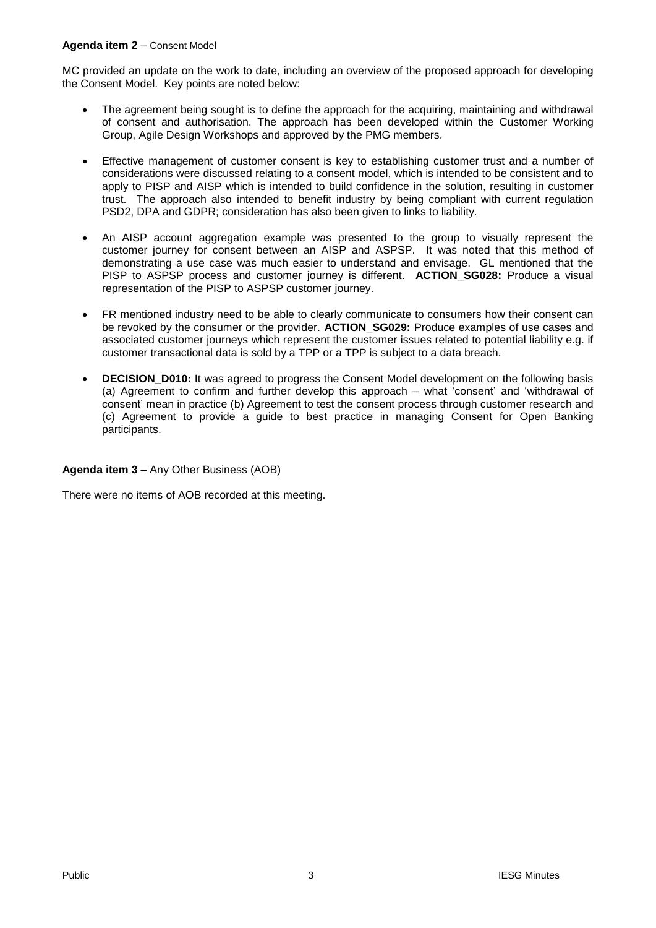### **Agenda item 2** – Consent Model

MC provided an update on the work to date, including an overview of the proposed approach for developing the Consent Model. Key points are noted below:

- The agreement being sought is to define the approach for the acquiring, maintaining and withdrawal of consent and authorisation. The approach has been developed within the Customer Working Group, Agile Design Workshops and approved by the PMG members.
- Effective management of customer consent is key to establishing customer trust and a number of considerations were discussed relating to a consent model, which is intended to be consistent and to apply to PISP and AISP which is intended to build confidence in the solution, resulting in customer trust. The approach also intended to benefit industry by being compliant with current regulation PSD2, DPA and GDPR; consideration has also been given to links to liability.
- An AISP account aggregation example was presented to the group to visually represent the customer journey for consent between an AISP and ASPSP. It was noted that this method of demonstrating a use case was much easier to understand and envisage. GL mentioned that the PISP to ASPSP process and customer journey is different. **ACTION\_SG028:** Produce a visual representation of the PISP to ASPSP customer journey.
- FR mentioned industry need to be able to clearly communicate to consumers how their consent can be revoked by the consumer or the provider. **ACTION\_SG029:** Produce examples of use cases and associated customer journeys which represent the customer issues related to potential liability e.g. if customer transactional data is sold by a TPP or a TPP is subject to a data breach.
- **DECISION\_D010:** It was agreed to progress the Consent Model development on the following basis (a) Agreement to confirm and further develop this approach – what 'consent' and 'withdrawal of consent' mean in practice (b) Agreement to test the consent process through customer research and (c) Agreement to provide a guide to best practice in managing Consent for Open Banking participants.

### **Agenda item 3** – Any Other Business (AOB)

There were no items of AOB recorded at this meeting.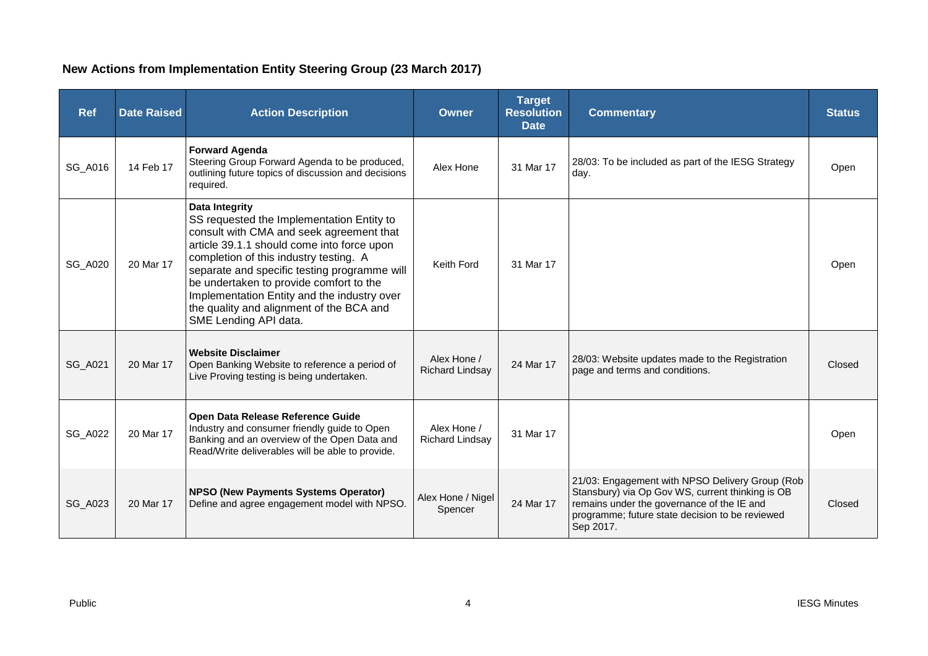## **New Actions from Implementation Entity Steering Group (23 March 2017)**

| <b>Ref</b>     | <b>Date Raised</b> | <b>Action Description</b>                                                                                                                                                                                                                                                                                                                                                                                             | <b>Owner</b>                          | <b>Target</b><br><b>Resolution</b><br><b>Date</b> | <b>Commentary</b>                                                                                                                                                                                                 | <b>Status</b> |
|----------------|--------------------|-----------------------------------------------------------------------------------------------------------------------------------------------------------------------------------------------------------------------------------------------------------------------------------------------------------------------------------------------------------------------------------------------------------------------|---------------------------------------|---------------------------------------------------|-------------------------------------------------------------------------------------------------------------------------------------------------------------------------------------------------------------------|---------------|
| SG_A016        | 14 Feb 17          | <b>Forward Agenda</b><br>Steering Group Forward Agenda to be produced,<br>outlining future topics of discussion and decisions<br>required.                                                                                                                                                                                                                                                                            | Alex Hone                             | 31 Mar 17                                         | 28/03: To be included as part of the IESG Strategy<br>day.                                                                                                                                                        | Open          |
| <b>SG_A020</b> | 20 Mar 17          | <b>Data Integrity</b><br>SS requested the Implementation Entity to<br>consult with CMA and seek agreement that<br>article 39.1.1 should come into force upon<br>completion of this industry testing. A<br>separate and specific testing programme will<br>be undertaken to provide comfort to the<br>Implementation Entity and the industry over<br>the quality and alignment of the BCA and<br>SME Lending API data. | Keith Ford                            | 31 Mar 17                                         |                                                                                                                                                                                                                   | Open          |
| SG_A021        | 20 Mar 17          | <b>Website Disclaimer</b><br>Open Banking Website to reference a period of<br>Live Proving testing is being undertaken.                                                                                                                                                                                                                                                                                               | Alex Hone /<br><b>Richard Lindsay</b> | 24 Mar 17                                         | 28/03: Website updates made to the Registration<br>page and terms and conditions.                                                                                                                                 | Closed        |
| <b>SG_A022</b> | 20 Mar 17          | Open Data Release Reference Guide<br>Industry and consumer friendly guide to Open<br>Banking and an overview of the Open Data and<br>Read/Write deliverables will be able to provide.                                                                                                                                                                                                                                 | Alex Hone /<br>Richard Lindsay        | 31 Mar 17                                         |                                                                                                                                                                                                                   | Open          |
| <b>SG_A023</b> | 20 Mar 17          | <b>NPSO (New Payments Systems Operator)</b><br>Define and agree engagement model with NPSO.                                                                                                                                                                                                                                                                                                                           | Alex Hone / Nigel<br>Spencer          | 24 Mar 17                                         | 21/03: Engagement with NPSO Delivery Group (Rob<br>Stansbury) via Op Gov WS, current thinking is OB<br>remains under the governance of the IE and<br>programme; future state decision to be reviewed<br>Sep 2017. | Closed        |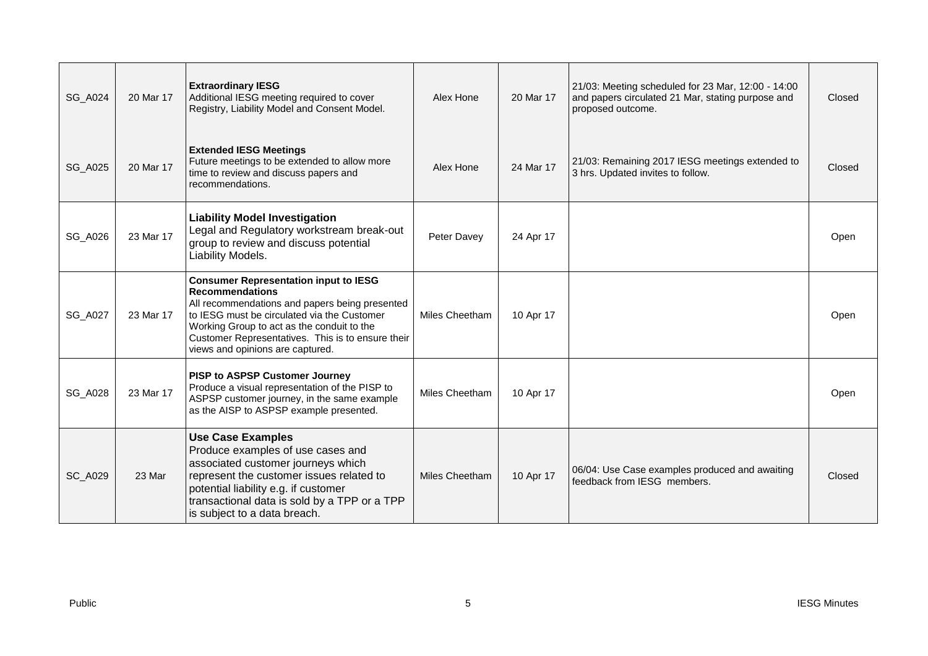| <b>SG_A024</b> | 20 Mar 17 | <b>Extraordinary IESG</b><br>Additional IESG meeting required to cover<br>Registry, Liability Model and Consent Model.                                                                                                                                                                                         | Alex Hone      | 20 Mar 17 | 21/03: Meeting scheduled for 23 Mar, 12:00 - 14:00<br>and papers circulated 21 Mar, stating purpose and<br>proposed outcome. | Closed |
|----------------|-----------|----------------------------------------------------------------------------------------------------------------------------------------------------------------------------------------------------------------------------------------------------------------------------------------------------------------|----------------|-----------|------------------------------------------------------------------------------------------------------------------------------|--------|
| <b>SG_A025</b> | 20 Mar 17 | <b>Extended IESG Meetings</b><br>Future meetings to be extended to allow more<br>time to review and discuss papers and<br>recommendations.                                                                                                                                                                     | Alex Hone      | 24 Mar 17 | 21/03: Remaining 2017 IESG meetings extended to<br>3 hrs. Updated invites to follow.                                         | Closed |
| <b>SG_A026</b> | 23 Mar 17 | <b>Liability Model Investigation</b><br>Legal and Regulatory workstream break-out<br>group to review and discuss potential<br>Liability Models.                                                                                                                                                                | Peter Davey    | 24 Apr 17 |                                                                                                                              | Open   |
| <b>SG_A027</b> | 23 Mar 17 | <b>Consumer Representation input to IESG</b><br><b>Recommendations</b><br>All recommendations and papers being presented<br>to IESG must be circulated via the Customer<br>Working Group to act as the conduit to the<br>Customer Representatives. This is to ensure their<br>views and opinions are captured. | Miles Cheetham | 10 Apr 17 |                                                                                                                              | Open   |
| <b>SG_A028</b> | 23 Mar 17 | <b>PISP to ASPSP Customer Journey</b><br>Produce a visual representation of the PISP to<br>ASPSP customer journey, in the same example<br>as the AISP to ASPSP example presented.                                                                                                                              | Miles Cheetham | 10 Apr 17 |                                                                                                                              | Open   |
| <b>SC_A029</b> | 23 Mar    | <b>Use Case Examples</b><br>Produce examples of use cases and<br>associated customer journeys which<br>represent the customer issues related to<br>potential liability e.g. if customer<br>transactional data is sold by a TPP or a TPP<br>is subject to a data breach.                                        | Miles Cheetham | 10 Apr 17 | 06/04: Use Case examples produced and awaiting<br>feedback from IESG members.                                                | Closed |